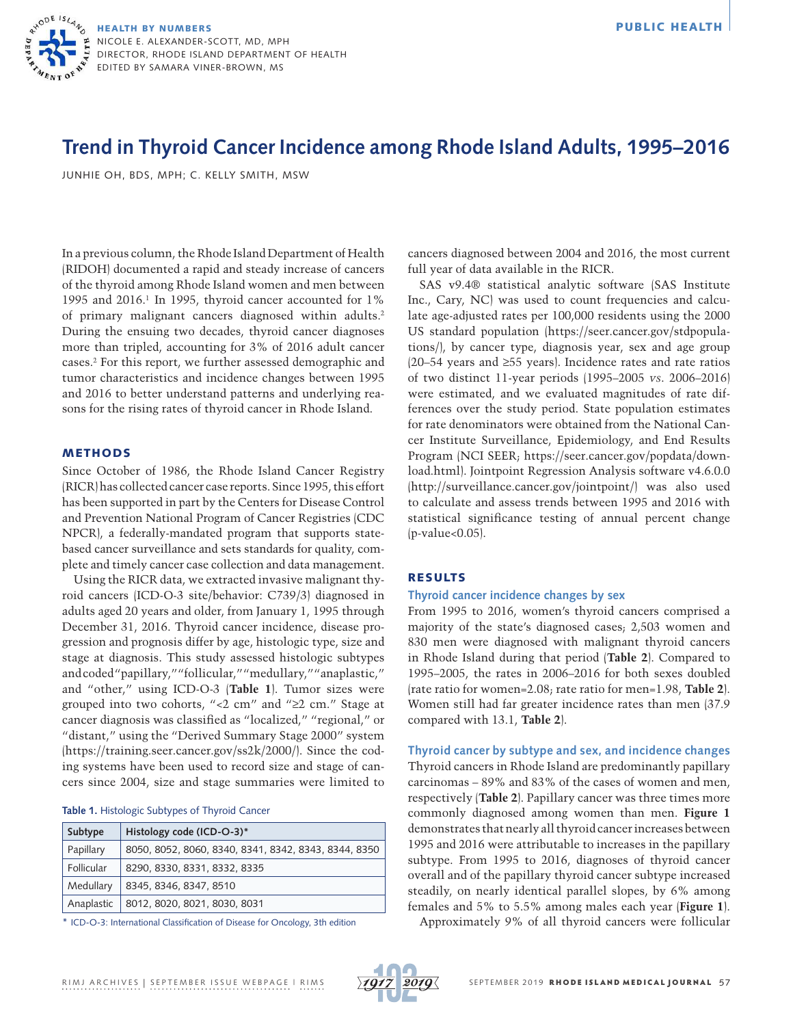

# **Trend in Thyroid Cancer Incidence among Rhode Island Adults, 1995–2016**

JUNHIE OH, BDS, MPH; C. KELLY SMITH, MSW

In a previous column, the Rhode Island Department of Health (RIDOH) documented a rapid and steady increase of cancers of the thyroid among Rhode Island women and men between 1995 and  $2016<sup>1</sup>$  In 1995, thyroid cancer accounted for 1% of primary malignant cancers diagnosed within adults.<sup>2</sup> During the ensuing two decades, thyroid cancer diagnoses more than tripled, accounting for 3% of 2016 adult cancer cases.2 For this report, we further assessed demographic and tumor characteristics and incidence changes between 1995 and 2016 to better understand patterns and underlying reasons for the rising rates of thyroid cancer in Rhode Island.

#### METHODS

Since October of 1986, the Rhode Island Cancer Registry (RICR) has collected cancer case reports. Since 1995, this effort has been supported in part by the Centers for Disease Control and Prevention National Program of Cancer Registries (CDC NPCR), a federally-mandated program that supports statebased cancer surveillance and sets standards for quality, complete and timely cancer case collection and data management.

Using the RICR data, we extracted invasive malignant thyroid cancers (ICD-O-3 site/behavior: C739/3) diagnosed in adults aged 20 years and older, from January 1, 1995 through December 31, 2016. Thyroid cancer incidence, disease progression and prognosis differ by age, histologic type, size and stage at diagnosis. This study assessed histologic subtypes and coded "papillary," "follicular," "medullary," "anaplastic," and "other," using ICD-O-3 (**Table 1**). Tumor sizes were grouped into two cohorts, "<2 cm" and "≥2 cm." Stage at cancer diagnosis was classified as "localized," "regional," or "distant," using the "Derived Summary Stage 2000" system ([https://training.seer.cancer.gov/ss2k/2000/\)](https://training.seer.cancer.gov/ss2k/2000/). Since the coding systems have been used to record size and stage of cancers since 2004, size and stage summaries were limited to

## **Table 1.** Histologic Subtypes of Thyroid Cancer

| Subtype    | Histology code (ICD-O-3)*                            |  |  |
|------------|------------------------------------------------------|--|--|
| Papillary  | 8050, 8052, 8060, 8340, 8341, 8342, 8343, 8344, 8350 |  |  |
| Follicular | 8290, 8330, 8331, 8332, 8335                         |  |  |
| Medullary  | 8345, 8346, 8347, 8510                               |  |  |
| Anaplastic | 8012, 8020, 8021, 8030, 8031                         |  |  |

\* ICD-O-3: International Classification of Disease for Oncology, 3th edition

cancers diagnosed between 2004 and 2016, the most current full year of data available in the RICR.

SAS v9.4® statistical analytic software (SAS Institute Inc., Cary, NC) was used to count frequencies and calculate age-adjusted rates per 100,000 residents using the 2000 US standard population [\(https://seer.cancer.gov/stdpopula](https://seer.cancer.gov/stdpopulations/)[tions/](https://seer.cancer.gov/stdpopulations/)), by cancer type, diagnosis year, sex and age group (20–54 years and ≥55 years). Incidence rates and rate ratios of two distinct 11-year periods (1995–2005 *vs*. 2006–2016) were estimated, and we evaluated magnitudes of rate differences over the study period. State population estimates for rate denominators were obtained from the National Cancer Institute Surveillance, Epidemiology, and End Results Program (NCI SEER; [https://seer.cancer.gov/popdata/down](https://seer.cancer.gov/popdata/download.html)[load.html\)](https://seer.cancer.gov/popdata/download.html). Jointpoint Regression Analysis software v4.6.0.0 ([http://surveillance.cancer.gov/jointpoint/\)](http://surveillance.cancer.gov/jointpoint/) was also used to calculate and assess trends between 1995 and 2016 with statistical significance testing of annual percent change (p-value<0.05).

# RESULTS

# **Thyroid cancer incidence changes by sex**

From 1995 to 2016, women's thyroid cancers comprised a majority of the state's diagnosed cases; 2,503 women and 830 men were diagnosed with malignant thyroid cancers in Rhode Island during that period (**Table 2**). Compared to 1995–2005, the rates in 2006–2016 for both sexes doubled (rate ratio for women=2.08; rate ratio for men=1.98, **Table 2**). Women still had far greater incidence rates than men (37.9 compared with 13.1, **Table 2**).

**Thyroid cancer by subtype and sex, and incidence changes** Thyroid cancers in Rhode Island are predominantly papillary carcinomas – 89% and 83% of the cases of women and men, respectively (**Table 2**). Papillary cancer was three times more commonly diagnosed among women than men. **Figure 1**  demonstrates that nearly all thyroid cancer increases between 1995 and 2016 were attributable to increases in the papillary subtype. From 1995 to 2016, diagnoses of thyroid cancer overall and of the papillary thyroid cancer subtype increased steadily, on nearly identical parallel slopes, by 6% among females and 5% to 5.5% among males each year (**Figure 1**).

Approximately 9% of all thyroid cancers were follicular

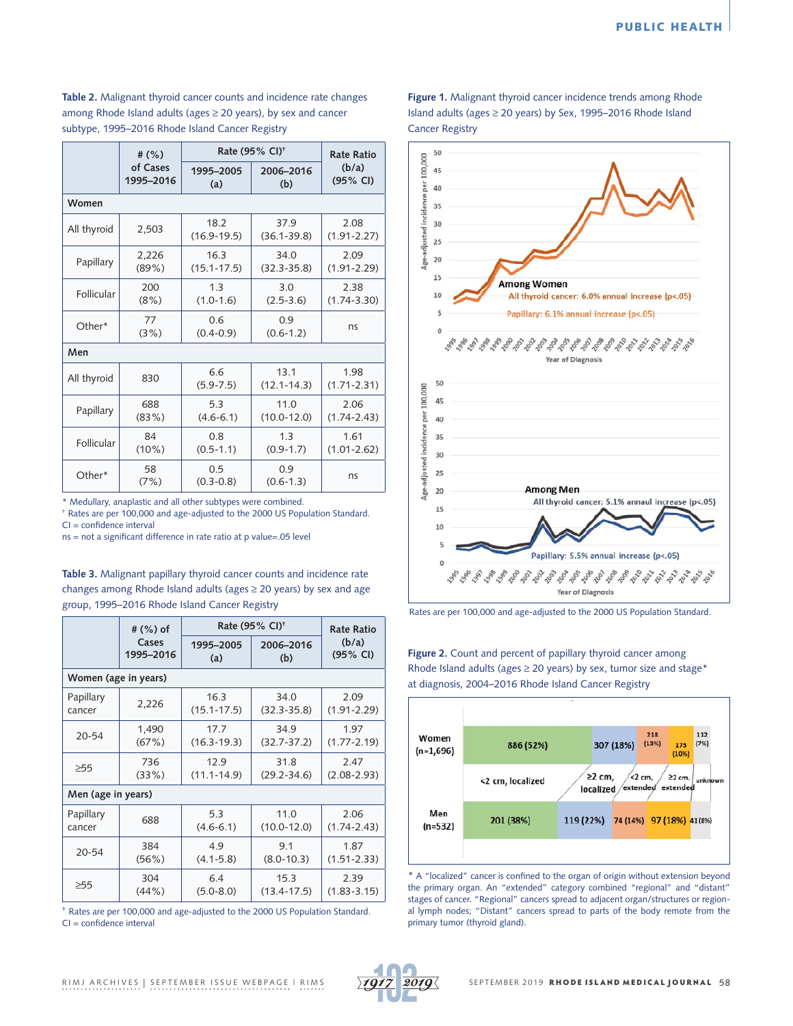**Table 2.** Malignant thyroid cancer counts and incidence rate changes among Rhode Island adults (ages  $\geq$  20 years), by sex and cancer subtype, 1995–2016 Rhode Island Cancer Registry

|             | Rate (95% CI) <sup>+</sup><br># $(%)$ |                         | <b>Rate Ratio</b>       |                         |  |  |  |
|-------------|---------------------------------------|-------------------------|-------------------------|-------------------------|--|--|--|
|             | of Cases<br>1995-2016                 | 1995-2005<br>(a)        | 2006-2016<br>(b)        | (b/a)<br>(95% CI)       |  |  |  |
| Women       |                                       |                         |                         |                         |  |  |  |
| All thyroid | 2,503                                 | 18.2<br>$(16.9 - 19.5)$ | 37.9<br>$(36.1 - 39.8)$ | 2.08<br>$(1.91 - 2.27)$ |  |  |  |
| Papillary   | 2,226<br>$(89\%)$                     | 16.3<br>$(15.1 - 17.5)$ | 34.0<br>$(32.3 - 35.8)$ | 2.09<br>$(1.91 - 2.29)$ |  |  |  |
| Follicular  | 200<br>(8%)                           | 1.3<br>$(1.0-1.6)$      | 3.0<br>$(2.5 - 3.6)$    | 2.38<br>$(1.74 - 3.30)$ |  |  |  |
| Other*      | 77<br>(3%)                            | 0.6<br>$(0.4 - 0.9)$    | 0.9<br>$(0.6-1.2)$      | ns                      |  |  |  |
| Men         |                                       |                         |                         |                         |  |  |  |
| All thyroid | 830                                   | 6.6<br>$(5.9 - 7.5)$    | 13.1<br>$(12.1 - 14.3)$ | 1.98<br>$(1.71 - 2.31)$ |  |  |  |
| Papillary   | 688<br>(83%)                          | 5.3<br>$(4.6 - 6.1)$    | 11.0<br>$(10.0 - 12.0)$ | 2.06<br>$(1.74 - 2.43)$ |  |  |  |
| Follicular  | 84<br>$(10\%)$                        | 0.8<br>$(0.5 - 1.1)$    | 1.3<br>$(0.9 - 1.7)$    | 1.61<br>$(1.01 - 2.62)$ |  |  |  |
| Other*      | 58<br>(7%)                            | 0.5<br>$(0.3 - 0.8)$    | 0.9<br>$(0.6-1.3)$      | ns                      |  |  |  |

\* Medullary, anaplastic and all other subtypes were combined.

† Rates are per 100,000 and age-adjusted to the 2000 US Population Standard.  $CI = confidence$  interval

ns = not a significant difference in rate ratio at p value=.05 level

**Table 3.** Malignant papillary thyroid cancer counts and incidence rate changes among Rhode Island adults (ages ≥ 20 years) by sex and age group, 1995–2016 Rhode Island Cancer Registry

|                      | # (%) of  | Rate (95% CI) <sup>+</sup> |                 | <b>Rate Ratio</b> |  |  |  |  |
|----------------------|-----------|----------------------------|-----------------|-------------------|--|--|--|--|
|                      | Cases     | 1995-2005                  | 2006-2016       | (b/a)             |  |  |  |  |
|                      | 1995-2016 | (a)                        | (b)             | (95% CI)          |  |  |  |  |
| Women (age in years) |           |                            |                 |                   |  |  |  |  |
| Papillary            | 2,226     | 16.3                       | 34.0            | 2.09              |  |  |  |  |
| cancer               |           | $(15.1 - 17.5)$            | $(32.3 - 35.8)$ | $(1.91 - 2.29)$   |  |  |  |  |
| $20 - 54$            | 1,490     | 17.7                       | 34.9            | 1.97              |  |  |  |  |
|                      | (67%)     | $(16.3 - 19.3)$            | $(32.7 - 37.2)$ | $(1.77 - 2.19)$   |  |  |  |  |
| $\geq 55$            | 736       | 12.9                       | 31.8            | 2.47              |  |  |  |  |
|                      | (33%)     | $(11.1 - 14.9)$            | $(29.2 - 34.6)$ | $(2.08 - 2.93)$   |  |  |  |  |
| Men (age in years)   |           |                            |                 |                   |  |  |  |  |
| Papillary            | 688       | 5.3                        | 11.0            | 2.06              |  |  |  |  |
| cancer               |           | $(4.6 - 6.1)$              | $(10.0 - 12.0)$ | $(1.74 - 2.43)$   |  |  |  |  |
| $20 - 54$            | 384       | 4.9                        | 9.1             | 1.87              |  |  |  |  |
|                      | (56%)     | $(4.1 - 5.8)$              | $(8.0 - 10.3)$  | $(1.51 - 2.33)$   |  |  |  |  |
| $\geq 55$            | 304       | 6.4                        | 15.3            | 2.39              |  |  |  |  |
|                      | $(44\%)$  | $(5.0 - 8.0)$              | $(13.4 - 17.5)$ | $(1.83 - 3.15)$   |  |  |  |  |

† Rates are per 100,000 and age-adjusted to the 2000 US Population Standard. CI = confidence interval

**Figure 1.** Malignant thyroid cancer incidence trends among Rhode Island adults (ages ≥ 20 years) by Sex, 1995–2016 Rhode Island Cancer Registry



Rates are per 100,000 and age-adjusted to the 2000 US Population Standard.

**Figure 2.** Count and percent of papillary thyroid cancer among Rhode Island adults (ages  $\geq$  20 years) by sex, tumor size and stage\* at diagnosis, 2004–2016 Rhode Island Cancer Registry



\* A "localized" cancer is confined to the organ of origin without extension beyond the primary organ. An "extended" category combined "regional" and "distant" stages of cancer. "Regional" cancers spread to adjacent organ/structures or regional lymph nodes; "Distant" cancers spread to parts of the body remote from the primary tumor (thyroid gland).

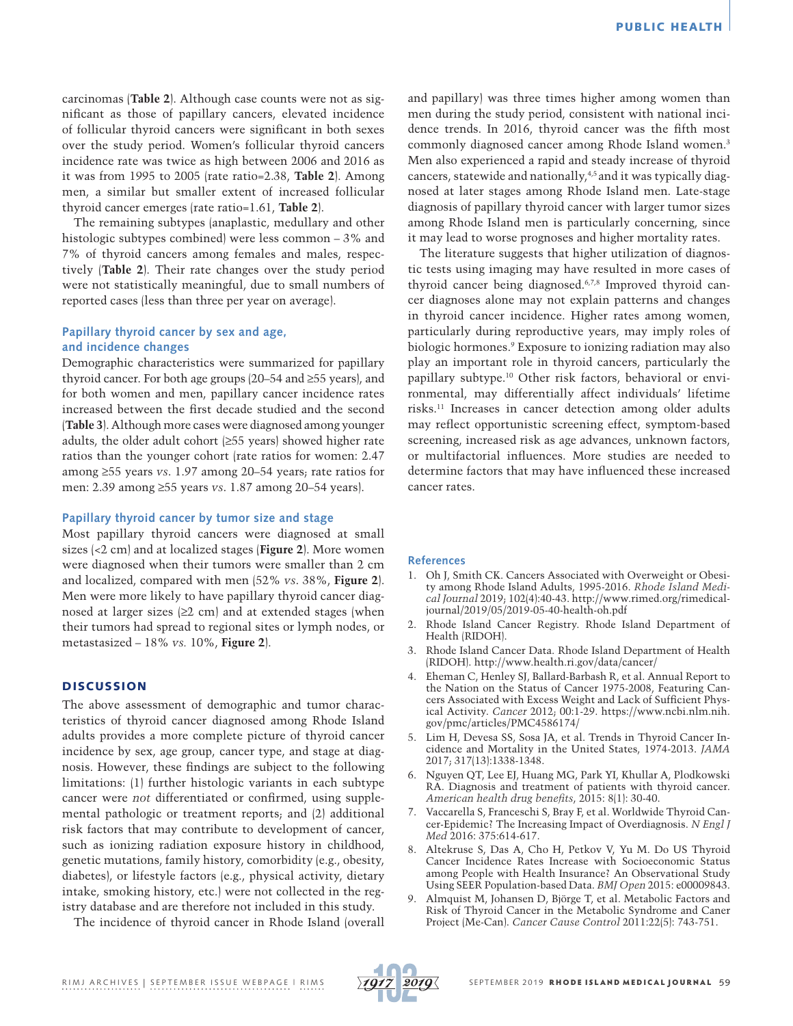carcinomas (**Table 2**). Although case counts were not as significant as those of papillary cancers, elevated incidence of follicular thyroid cancers were significant in both sexes over the study period. Women's follicular thyroid cancers incidence rate was twice as high between 2006 and 2016 as it was from 1995 to 2005 (rate ratio=2.38, **Table 2**). Among men, a similar but smaller extent of increased follicular thyroid cancer emerges (rate ratio=1.61, **Table 2**).

The remaining subtypes (anaplastic, medullary and other histologic subtypes combined) were less common – 3% and 7% of thyroid cancers among females and males, respectively (**Table 2**). Their rate changes over the study period were not statistically meaningful, due to small numbers of reported cases (less than three per year on average).

# **Papillary thyroid cancer by sex and age, and incidence changes**

Demographic characteristics were summarized for papillary thyroid cancer. For both age groups (20–54 and ≥55 years), and for both women and men, papillary cancer incidence rates increased between the first decade studied and the second (**Table 3**). Although more cases were diagnosed among younger adults, the older adult cohort (≥55 years) showed higher rate ratios than the younger cohort (rate ratios for women: 2.47 among ≥55 years *vs*. 1.97 among 20–54 years; rate ratios for men: 2.39 among ≥55 years *vs*. 1.87 among 20–54 years).

### **Papillary thyroid cancer by tumor size and stage**

Most papillary thyroid cancers were diagnosed at small sizes (<2 cm) and at localized stages (**Figure 2**). More women were diagnosed when their tumors were smaller than 2 cm and localized, compared with men (52% *vs*. 38%, **Figure 2**). Men were more likely to have papillary thyroid cancer diagnosed at larger sizes  $(≥2$  cm $)$  and at extended stages (when their tumors had spread to regional sites or lymph nodes, or metastasized – 18% *vs.* 10%, **Figure 2**).

# **DISCUSSION**

The above assessment of demographic and tumor characteristics of thyroid cancer diagnosed among Rhode Island adults provides a more complete picture of thyroid cancer incidence by sex, age group, cancer type, and stage at diagnosis. However, these findings are subject to the following limitations: (1) further histologic variants in each subtype cancer were *not* differentiated or confirmed, using supplemental pathologic or treatment reports; and (2) additional risk factors that may contribute to development of cancer, such as ionizing radiation exposure history in childhood, genetic mutations, family history, comorbidity (e.g., obesity, diabetes), or lifestyle factors (e.g., physical activity, dietary intake, smoking history, etc.) were not collected in the registry database and are therefore not included in this study.

The incidence of thyroid cancer in Rhode Island (overall

and papillary) was three times higher among women than men during the study period, consistent with national incidence trends. In 2016, thyroid cancer was the fifth most commonly diagnosed cancer among Rhode Island women.3 Men also experienced a rapid and steady increase of thyroid cancers, statewide and nationally,<sup>4,5</sup> and it was typically diagnosed at later stages among Rhode Island men. Late-stage diagnosis of papillary thyroid cancer with larger tumor sizes among Rhode Island men is particularly concerning, since it may lead to worse prognoses and higher mortality rates.

The literature suggests that higher utilization of diagnostic tests using imaging may have resulted in more cases of thyroid cancer being diagnosed.6,7,8 Improved thyroid cancer diagnoses alone may not explain patterns and changes in thyroid cancer incidence. Higher rates among women, particularly during reproductive years, may imply roles of biologic hormones.9 Exposure to ionizing radiation may also play an important role in thyroid cancers, particularly the papillary subtype.10 Other risk factors, behavioral or environmental, may differentially affect individuals' lifetime risks.11 Increases in cancer detection among older adults may reflect opportunistic screening effect, symptom-based screening, increased risk as age advances, unknown factors, or multifactorial influences. More studies are needed to determine factors that may have influenced these increased cancer rates.

#### **References**

- 1. Oh J, Smith CK. Cancers Associated with Overweight or Obesity among Rhode Island Adults, 1995-2016. *Rhode Island Medical Journal* 2019; 102(4):40-43. [http://www.rimed.org/rimedical](http://www.rimed.org/rimedicaljournal/2019/05/2019-05-40-health-oh.pdf)[journal/2019/05/2019-05-40-health-oh.pdf](http://www.rimed.org/rimedicaljournal/2019/05/2019-05-40-health-oh.pdf)
- 2. Rhode Island Cancer Registry. Rhode Island Department of Health (RIDOH).
- 3. Rhode Island Cancer Data. Rhode Island Department of Health (RIDOH).<http://www.health.ri.gov/data/cancer/>
- 4. Eheman C, Henley SJ, Ballard-Barbash R, et al. Annual Report to the Nation on the Status of Cancer 1975-2008, Featuring Cancers Associated with Excess Weight and Lack of Sufficient Physical Activity. *Cancer* 2012; 00:1-29. [https://www.ncbi.nlm.nih.](https://www.ncbi.nlm.nih.gov/pmc/articles/PMC4586174/) [gov/pmc/articles/PMC4586174/](https://www.ncbi.nlm.nih.gov/pmc/articles/PMC4586174/)
- 5. Lim H, Devesa SS, Sosa JA, et al. Trends in Thyroid Cancer Incidence and Mortality in the United States, 1974-2013. *JAMA* 2017; 317(13):1338-1348.
- 6. Nguyen QT, Lee EJ, Huang MG, Park YI, Khullar A, Plodkowski RA. Diagnosis and treatment of patients with thyroid cancer. *American health drug benefits*, 2015: 8(1): 30-40.
- 7. Vaccarella S, Franceschi S, Bray F, et al. Worldwide Thyroid Cancer-Epidemic? The Increasing Impact of Overdiagnosis. *N Engl J Med* 2016: 375:614-617.
- 8. Altekruse S, Das A, Cho H, Petkov V, Yu M. Do US Thyroid Cancer Incidence Rates Increase with Socioeconomic Status among People with Health Insurance? An Observational Study Using SEER Population-based Data. *BMJ Open* 2015: e00009843.
- 9. Almquist M, Johansen D, Björge T, et al. Metabolic Factors and Risk of Thyroid Cancer in the Metabolic Syndrome and Caner Project (Me-Can). *Cancer Cause Control* 2011:22(5): 743-751.